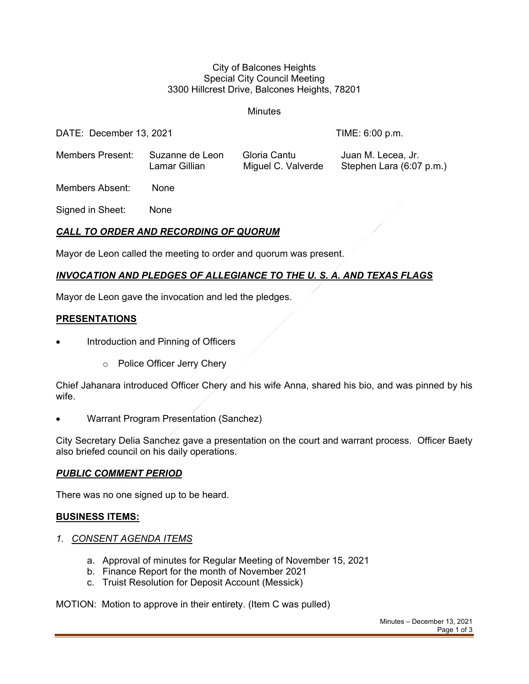#### City of Balcones Heights Special City Council Meeting 3300 Hillcrest Drive, Balcones Heights, 78201

**Minutes** 

DATE: December 13, 2021 TIME: 6:00 p.m.

Members Present: Suzanne de Leon Gloria Cantu Juan M. Lecea, Jr. Lamar Gillian Miguel C. Valverde Stephen Lara (6:07 p.m.)

Members Absent: None

Signed in Sheet: None

# *CALL TO ORDER AND RECORDING OF QUORUM*

Mayor de Leon called the meeting to order and quorum was present.

# *INVOCATION AND PLEDGES OF ALLEGIANCE TO THE U. S. A. AND TEXAS FLAGS*

Mayor de Leon gave the invocation and led the pledges.

## **PRESENTATIONS**

- Introduction and Pinning of Officers
	- o Police Officer Jerry Chery

Chief Jahanara introduced Officer Chery and his wife Anna, shared his bio, and was pinned by his wife.

• Warrant Program Presentation (Sanchez)

City Secretary Delia Sanchez gave a presentation on the court and warrant process. Officer Baety also briefed council on his daily operations.

### *PUBLIC COMMENT PERIOD*

There was no one signed up to be heard.

## **BUSINESS ITEMS:**

- *1. CONSENT AGENDA ITEMS*
	- a. Approval of minutes for Regular Meeting of November 15, 2021
	- b. Finance Report for the month of November 2021
	- c. Truist Resolution for Deposit Account (Messick)

MOTION: Motion to approve in their entirety. (Item C was pulled)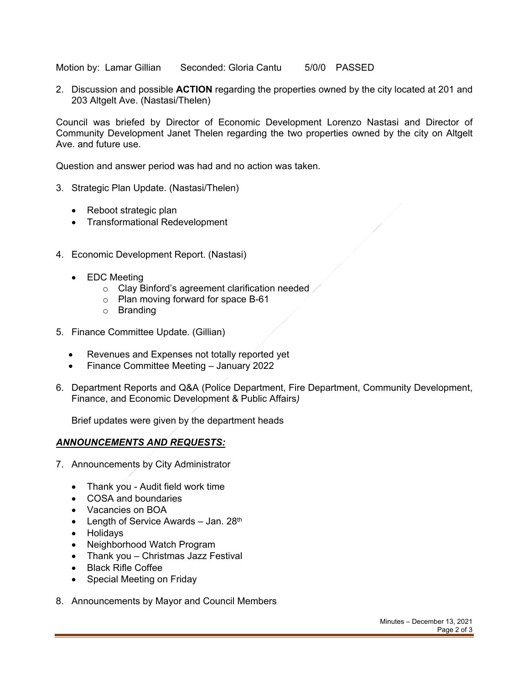Motion by: Lamar Gillian Seconded: Gloria Cantu 5/0/0 PASSED

2. Discussion and possible **ACTION** regarding the properties owned by the city located at 201 and 203 Altgelt Ave. (Nastasi/Thelen)

Council was briefed by Director of Economic Development Lorenzo Nastasi and Director of Community Development Janet Thelen regarding the two properties owned by the city on Altgelt Ave. and future use.

Question and answer period was had and no action was taken.

- 3. Strategic Plan Update. (Nastasi/Thelen)
	- Reboot strategic plan
	- Transformational Redevelopment
- 4. Economic Development Report. (Nastasi)
	- EDC Meeting
		- o Clay Binford's agreement clarification needed
		- o Plan moving forward for space B-61
		- o Branding
- 5. Finance Committee Update. (Gillian)
	- Revenues and Expenses not totally reported yet
	- Finance Committee Meeting January 2022
- 6. Department Reports and Q&A (Police Department, Fire Department, Community Development, Finance, and Economic Development & Public Affairs*)*

Brief updates were given by the department heads

#### *ANNOUNCEMENTS AND REQUESTS:*

- 7. Announcements by City Administrator
	- Thank you Audit field work time
	- COSA and boundaries
	- Vacancies on BOA
	- Length of Service Awards Jan.  $28<sup>th</sup>$
	- Holidays
	- Neighborhood Watch Program
	- Thank you Christmas Jazz Festival
	- Black Rifle Coffee
	- Special Meeting on Friday
- 8. Announcements by Mayor and Council Members